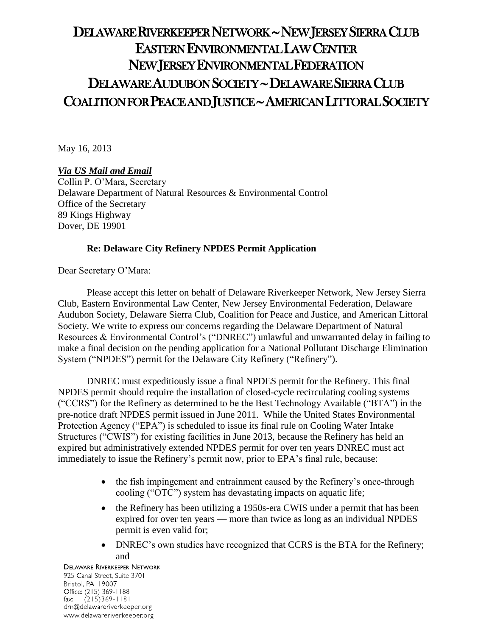# DELAWARE RIVERKEEPER NETWORK ~ NEW JERSEY SIERRA CLUB EASTERN ENVIRONMENTAL LAW CENTER NEW JERSEY ENVIRONMENTAL FEDERATION DELAWARE AUDUBON SOCIETY ~ DELAWARE SIERRA CLUB COALITION FOR PEACE AND JUSTICE ~ AMERICAN LITTORAL SOCIETY

May 16, 2013

# *Via US Mail and Email*

Collin P. O'Mara, Secretary Delaware Department of Natural Resources & Environmental Control Office of the Secretary 89 Kings Highway Dover, DE 19901

# **Re: Delaware City Refinery NPDES Permit Application**

Dear Secretary O'Mara:

Please accept this letter on behalf of Delaware Riverkeeper Network, New Jersey Sierra Club, Eastern Environmental Law Center, New Jersey Environmental Federation, Delaware Audubon Society, Delaware Sierra Club, Coalition for Peace and Justice, and American Littoral Society. We write to express our concerns regarding the Delaware Department of Natural Resources & Environmental Control's ("DNREC") unlawful and unwarranted delay in failing to make a final decision on the pending application for a National Pollutant Discharge Elimination System ("NPDES") permit for the Delaware City Refinery ("Refinery").

DNREC must expeditiously issue a final NPDES permit for the Refinery. This final NPDES permit should require the installation of closed-cycle recirculating cooling systems ("CCRS") for the Refinery as determined to be the Best Technology Available ("BTA") in the pre-notice draft NPDES permit issued in June 2011. While the United States Environmental Protection Agency ("EPA") is scheduled to issue its final rule on Cooling Water Intake Structures ("CWIS") for existing facilities in June 2013, because the Refinery has held an expired but administratively extended NPDES permit for over ten years DNREC must act immediately to issue the Refinery's permit now, prior to EPA's final rule, because:

- the fish impingement and entrainment caused by the Refinery's once-through cooling ("OTC") system has devastating impacts on aquatic life;
- the Refinery has been utilizing a 1950s-era CWIS under a permit that has been expired for over ten years — more than twice as long as an individual NPDES permit is even valid for;
- DNREC's own studies have recognized that CCRS is the BTA for the Refinery; and

**DELAWARE RIVERKEEPER NETWORK** 925 Canal Street, Suite 3701 Bristol, PA 19007 Office: (215) 369-1188 fax:  $(215)369 - 1181$ drn@delawareriverkeeper.org www.delawareriverkeeper.org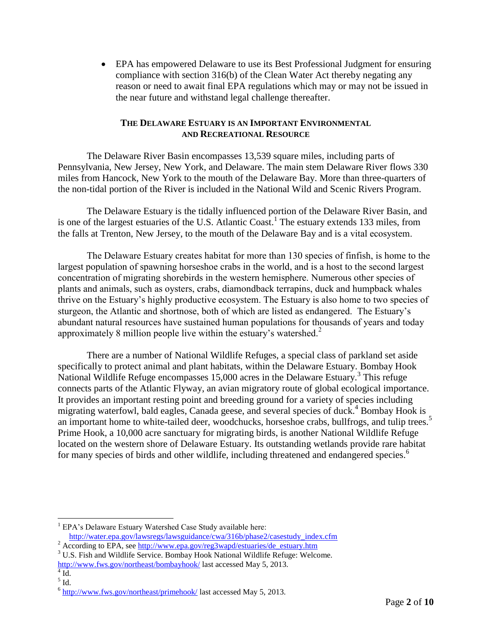EPA has empowered Delaware to use its Best Professional Judgment for ensuring compliance with section 316(b) of the Clean Water Act thereby negating any reason or need to await final EPA regulations which may or may not be issued in the near future and withstand legal challenge thereafter.

# **THE DELAWARE ESTUARY IS AN IMPORTANT ENVIRONMENTAL AND RECREATIONAL RESOURCE**

The Delaware River Basin encompasses 13,539 square miles, including parts of Pennsylvania, New Jersey, New York, and Delaware. The main stem Delaware River flows 330 miles from Hancock, New York to the mouth of the Delaware Bay. More than three-quarters of the non-tidal portion of the River is included in the National Wild and Scenic Rivers Program.

The Delaware Estuary is the tidally influenced portion of the Delaware River Basin, and is one of the largest estuaries of the U.S. Atlantic Coast.<sup>1</sup> The estuary extends 133 miles, from the falls at Trenton, New Jersey, to the mouth of the Delaware Bay and is a vital ecosystem.

The Delaware Estuary creates habitat for more than 130 species of finfish, is home to the largest population of spawning horseshoe crabs in the world, and is a host to the second largest concentration of migrating shorebirds in the western hemisphere. Numerous other species of plants and animals, such as oysters, crabs, diamondback terrapins, duck and humpback whales thrive on the Estuary's highly productive ecosystem. The Estuary is also home to two species of sturgeon, the Atlantic and shortnose, both of which are listed as endangered. The Estuary's abundant natural resources have sustained human populations for thousands of years and today approximately 8 million people live within the estuary's watershed. $2$ 

There are a number of National Wildlife Refuges, a special class of parkland set aside specifically to protect animal and plant habitats, within the Delaware Estuary. Bombay Hook National Wildlife Refuge encompasses 15,000 acres in the Delaware Estuary.<sup>3</sup> This refuge connects parts of the Atlantic Flyway, an avian migratory route of global ecological importance. It provides an important resting point and breeding ground for a variety of species including migrating waterfowl, bald eagles, Canada geese, and several species of duck.<sup>4</sup> Bombay Hook is an important home to white-tailed deer, woodchucks, horseshoe crabs, bullfrogs, and tulip trees.<sup>5</sup> Prime Hook, a 10,000 acre sanctuary for migrating birds, is another National Wildlife Refuge located on the western shore of Delaware Estuary. Its outstanding wetlands provide rare habitat for many species of birds and other wildlife, including threatened and endangered species.<sup>6</sup>

[http://water.epa.gov/lawsregs/lawsguidance/cwa/316b/phase2/casestudy\\_index.cfm](http://water.epa.gov/lawsregs/lawsguidance/cwa/316b/phase2/casestudy_index.cfm)

<sup>&</sup>lt;sup>1</sup> EPA's Delaware Estuary Watershed Case Study available here:

<sup>&</sup>lt;sup>2</sup> According to EPA, see [http://www.epa.gov/reg3wapd/estuaries/de\\_estuary.htm](http://www.epa.gov/reg3wapd/estuaries/de_estuary.htm)

<sup>&</sup>lt;sup>3</sup> U.S. Fish and Wildlife Service. Bombay Hook National Wildlife Refuge: Welcome. <http://www.fws.gov/northeast/bombayhook/> last accessed May 5, 2013.

 $4$  Id.

 $<sup>5</sup>$  Id.</sup>

<sup>&</sup>lt;sup>6</sup> <http://www.fws.gov/northeast/primehook/> last accessed May 5, 2013.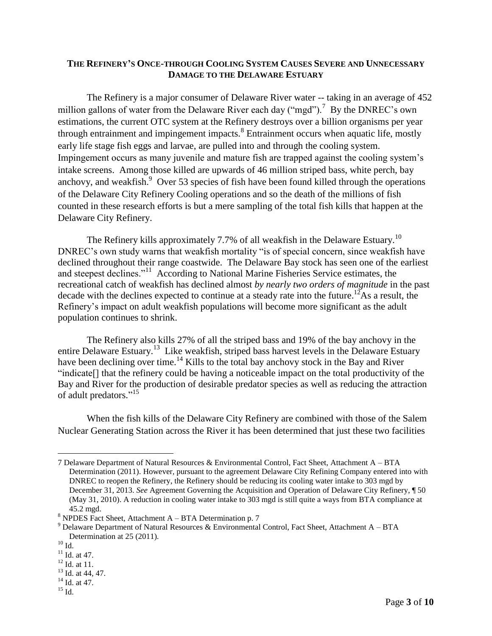### **THE REFINERY'S ONCE-THROUGH COOLING SYSTEM CAUSES SEVERE AND UNNECESSARY DAMAGE TO THE DELAWARE ESTUARY**

The Refinery is a major consumer of Delaware River water -- taking in an average of 452 million gallons of water from the Delaware River each day ("mgd").<sup>7</sup> By the DNREC's own estimations, the current OTC system at the Refinery destroys over a billion organisms per year through entrainment and impingement impacts.<sup>8</sup> Entrainment occurs when aquatic life, mostly early life stage fish eggs and larvae, are pulled into and through the cooling system. Impingement occurs as many juvenile and mature fish are trapped against the cooling system's intake screens. Among those killed are upwards of 46 million striped bass, white perch, bay anchovy, and weakfish. $9$  Over 53 species of fish have been found killed through the operations of the Delaware City Refinery Cooling operations and so the death of the millions of fish counted in these research efforts is but a mere sampling of the total fish kills that happen at the Delaware City Refinery.

The Refinery kills approximately 7.7% of all weakfish in the Delaware Estuary.<sup>10</sup> DNREC's own study warns that weakfish mortality "is of special concern, since weakfish have declined throughout their range coastwide. The Delaware Bay stock has seen one of the earliest and steepest declines."<sup>11</sup> According to National Marine Fisheries Service estimates, the recreational catch of weakfish has declined almost *by nearly two orders of magnitude* in the past decade with the declines expected to continue at a steady rate into the future.<sup>12</sup>As a result, the Refinery's impact on adult weakfish populations will become more significant as the adult population continues to shrink.

The Refinery also kills 27% of all the striped bass and 19% of the bay anchovy in the entire Delaware Estuary.<sup>13</sup> Like weakfish, striped bass harvest levels in the Delaware Estuary have been declining over time.<sup>14</sup> Kills to the total bay anchovy stock in the Bay and River "indicate[] that the refinery could be having a noticeable impact on the total productivity of the Bay and River for the production of desirable predator species as well as reducing the attraction of adult predators."<sup>15</sup>

When the fish kills of the Delaware City Refinery are combined with those of the Salem Nuclear Generating Station across the River it has been determined that just these two facilities

<sup>7</sup> Delaware Department of Natural Resources & Environmental Control, Fact Sheet, Attachment A – BTA Determination (2011). However, pursuant to the agreement Delaware City Refining Company entered into with DNREC to reopen the Refinery, the Refinery should be reducing its cooling water intake to 303 mgd by December 31, 2013. *See* Agreement Governing the Acquisition and Operation of Delaware City Refinery, ¶ 50 (May 31, 2010). A reduction in cooling water intake to 303 mgd is still quite a ways from BTA compliance at 45.2 mgd.

<sup>8</sup> NPDES Fact Sheet, Attachment A – BTA Determination p. 7

<sup>&</sup>lt;sup>9</sup> Delaware Department of Natural Resources & Environmental Control, Fact Sheet, Attachment A – BTA Determination at 25 (2011).

 $^{10}$  Id.

 $^{11}$  Id. at 47.

 $12$  Id. at 11.

 $13$  Id. at 44, 47.

<sup>&</sup>lt;sup>14</sup> Id. at 47.

 $^{15}$  Id.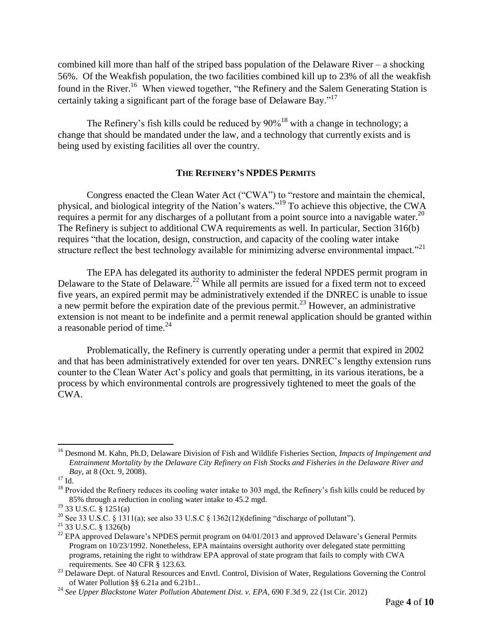combined kill more than half of the striped bass population of the Delaware River – a shocking 56%. Of the Weakfish population, the two facilities combined kill up to 23% of all the weakfish found in the River.<sup>16</sup> When viewed together, "the Refinery and the Salem Generating Station is certainly taking a significant part of the forage base of Delaware Bay."<sup>17</sup>

The Refinery's fish kills could be reduced by  $90\%$ <sup>18</sup> with a change in technology; a change that should be mandated under the law, and a technology that currently exists and is being used by existing facilities all over the country.

# **THE REFINERY'S NPDES PERMITS**

Congress enacted the Clean Water Act ("CWA") to "restore and maintain the chemical, physical, and biological integrity of the Nation's waters."<sup>19</sup> To achieve this objective, the CWA requires a permit for any discharges of a pollutant from a point source into a navigable water.<sup>20</sup> The Refinery is subject to additional CWA requirements as well. In particular, Section 316(b) requires "that the location, design, construction, and capacity of the cooling water intake structure reflect the best technology available for minimizing adverse environmental impact."<sup>21</sup>

The EPA has delegated its authority to administer the federal NPDES permit program in Delaware to the State of Delaware.<sup>22</sup> While all permits are issued for a fixed term not to exceed five years, an expired permit may be administratively extended if the DNREC is unable to issue a new permit before the expiration date of the previous permit.<sup>23</sup> However, an administrative extension is not meant to be indefinite and a permit renewal application should be granted within a reasonable period of time.<sup>24</sup>

Problematically, the Refinery is currently operating under a permit that expired in 2002 and that has been administratively extended for over ten years. DNREC's lengthy extension runs counter to the Clean Water Act's policy and goals that permitting, in its various iterations, be a process by which environmental controls are progressively tightened to meet the goals of the CWA.

<sup>16</sup> Desmond M. Kahn, Ph.D, Delaware Division of Fish and Wildlife Fisheries Section, *Impacts of Impingement and Entrainment Mortality by the Delaware City Refinery on Fish Stocks and Fisheries in the Delaware River and Bay*, at 8 (Oct. 9, 2008).

 $17$  Id.

 $18$  Provided the Refinery reduces its cooling water intake to 303 mgd, the Refinery's fish kills could be reduced by 85% through a reduction in cooling water intake to 45.2 mgd.

 $19$  33 U.S.C.  $\frac{1}{9}$  1251(a)

<sup>&</sup>lt;sup>20</sup> See 33 U.S.C. § 1311(a); see also 33 U.S.C § 1362(12)(defining "discharge of pollutant").

 $^{21}$  33 U.S.C. § 1326(b)

<sup>&</sup>lt;sup>22</sup> EPA approved Delaware's NPDES permit program on 04/01/2013 and approved Delaware's General Permits Program on 10/23/1992. Nonetheless, EPA maintains oversight authority over delegated state permitting programs, retaining the right to withdraw EPA approval of state program that fails to comply with CWA requirements. See 40 CFR § 123.63.

<sup>&</sup>lt;sup>23</sup> Delaware Dept. of Natural Resources and Envtl. Control, Division of Water, Regulations Governing the Control of Water Pollution §§ 6.21a and 6.21b1..

<sup>24</sup> *See Upper Blackstone Water Pollution Abatement Dist. v. EPA*, 690 F.3d 9, 22 (1st Cir. 2012)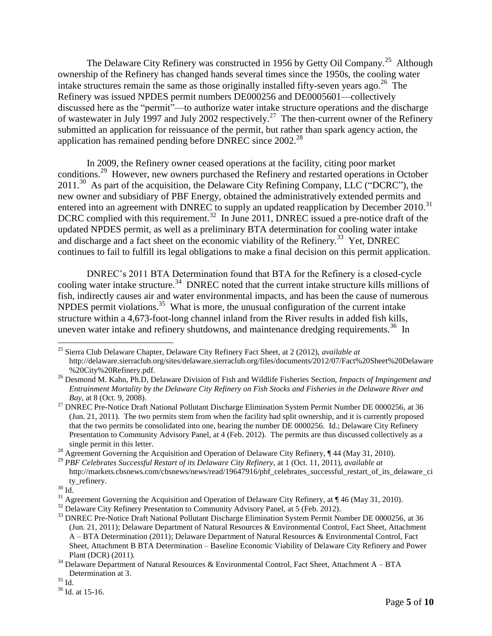The Delaware City Refinery was constructed in 1956 by Getty Oil Company.<sup>25</sup> Although ownership of the Refinery has changed hands several times since the 1950s, the cooling water intake structures remain the same as those originally installed fifty-seven years ago.<sup>26</sup> The Refinery was issued NPDES permit numbers DE000256 and DE0005601—collectively discussed here as the "permit"—to authorize water intake structure operations and the discharge of wastewater in July 1997 and July 2002 respectively.<sup>27</sup> The then-current owner of the Refinery submitted an application for reissuance of the permit, but rather than spark agency action, the application has remained pending before DNREC since 2002.<sup>28</sup>

In 2009, the Refinery owner ceased operations at the facility, citing poor market conditions.<sup>29</sup> However, new owners purchased the Refinery and restarted operations in October 2011.<sup>30</sup> As part of the acquisition, the Delaware City Refining Company, LLC ("DCRC"), the new owner and subsidiary of PBF Energy, obtained the administratively extended permits and entered into an agreement with DNREC to supply an updated reapplication by December 2010.<sup>31</sup> DCRC complied with this requirement.<sup>32</sup> In June 2011, DNREC issued a pre-notice draft of the updated NPDES permit, as well as a preliminary BTA determination for cooling water intake and discharge and a fact sheet on the economic viability of the Refinery.<sup>33</sup> Yet, DNREC continues to fail to fulfill its legal obligations to make a final decision on this permit application.

DNREC's 2011 BTA Determination found that BTA for the Refinery is a closed-cycle cooling water intake structure.<sup>34</sup> DNREC noted that the current intake structure kills millions of fish, indirectly causes air and water environmental impacts, and has been the cause of numerous NPDES permit violations.<sup>35</sup> What is more, the unusual configuration of the current intake structure within a 4,673-foot-long channel inland from the River results in added fish kills, uneven water intake and refinery shutdowns, and maintenance dredging requirements.<sup>36</sup> In

<sup>25</sup> Sierra Club Delaware Chapter, Delaware City Refinery Fact Sheet, at 2 (2012), *available at* http://delaware.sierraclub.org/sites/delaware.sierraclub.org/files/documents/2012/07/Fact%20Sheet%20Delaware %20City%20Refinery.pdf.

<sup>26</sup> Desmond M. Kahn, Ph.D, Delaware Division of Fish and Wildlife Fisheries Section, *Impacts of Impingement and Entrainment Mortality by the Delaware City Refinery on Fish Stocks and Fisheries in the Delaware River and Bay*, at 8 (Oct. 9, 2008).

<sup>&</sup>lt;sup>27</sup> DNREC Pre-Notice Draft National Pollutant Discharge Elimination System Permit Number DE 0000256, at 36 (Jun. 21, 2011). The two permits stem from when the facility had split ownership, and it is currently proposed that the two permits be consolidated into one, bearing the number DE 0000256. Id.; Delaware City Refinery Presentation to Community Advisory Panel, at 4 (Feb. 2012). The permits are thus discussed collectively as a single permit in this letter.

<sup>&</sup>lt;sup>28</sup> Agreement Governing the Acquisition and Operation of Delaware City Refinery, ¶ 44 (May 31, 2010).

<sup>29</sup> *PBF Celebrates Successful Restart of its Delaware City Refinery*, at 1 (Oct. 11, 2011), *available at* http://markets.cbsnews.com/cbsnews/news/read/19647916/pbf\_celebrates\_successful\_restart\_of\_its\_delaware\_ci ty\_refinery.

 $^{30}$  Id.

<sup>&</sup>lt;sup>31</sup> Agreement Governing the Acquisition and Operation of Delaware City Refinery, at ¶ 46 (May 31, 2010).

<sup>&</sup>lt;sup>32</sup> Delaware City Refinery Presentation to Community Advisory Panel, at 5 (Feb. 2012).

<sup>&</sup>lt;sup>33</sup> DNREC Pre-Notice Draft National Pollutant Discharge Elimination System Permit Number DE 0000256, at 36 (Jun. 21, 2011); Delaware Department of Natural Resources & Environmental Control, Fact Sheet, Attachment A – BTA Determination (2011); Delaware Department of Natural Resources & Environmental Control, Fact Sheet, Attachment B BTA Determination – Baseline Economic Viability of Delaware City Refinery and Power Plant (DCR) (2011).

 $34$  Delaware Department of Natural Resources & Environmental Control, Fact Sheet, Attachment A – BTA Determination at 3.

 $^{35}$  Id.

<sup>36</sup> Id. at 15-16.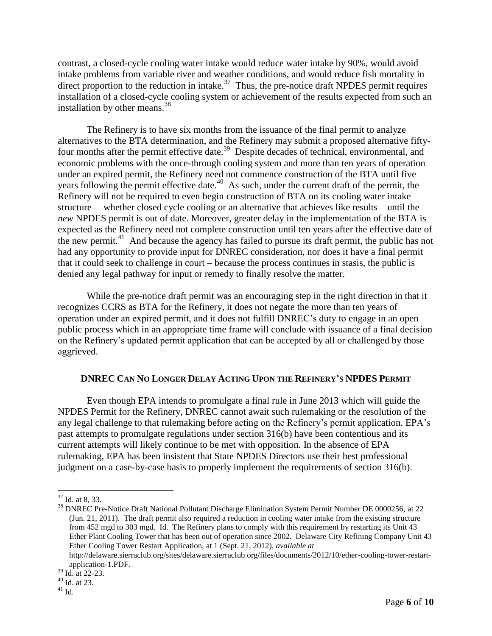contrast, a closed-cycle cooling water intake would reduce water intake by 90%, would avoid intake problems from variable river and weather conditions, and would reduce fish mortality in direct proportion to the reduction in intake. $37$  Thus, the pre-notice draft NPDES permit requires installation of a closed-cycle cooling system or achievement of the results expected from such an installation by other means.<sup>38</sup>

The Refinery is to have six months from the issuance of the final permit to analyze alternatives to the BTA determination, and the Refinery may submit a proposed alternative fiftyfour months after the permit effective date.<sup>39</sup> Despite decades of technical, environmental, and economic problems with the once-through cooling system and more than ten years of operation under an expired permit, the Refinery need not commence construction of the BTA until five years following the permit effective date.<sup>40</sup> As such, under the current draft of the permit, the Refinery will not be required to even begin construction of BTA on its cooling water intake structure —whether closed cycle cooling or an alternative that achieves like results—until the *new* NPDES permit is out of date. Moreover, greater delay in the implementation of the BTA is expected as the Refinery need not complete construction until ten years after the effective date of the new permit.<sup>41</sup> And because the agency has failed to pursue its draft permit, the public has not had any opportunity to provide input for DNREC consideration, nor does it have a final permit that it could seek to challenge in court – because the process continues in stasis, the public is denied any legal pathway for input or remedy to finally resolve the matter.

While the pre-notice draft permit was an encouraging step in the right direction in that it recognizes CCRS as BTA for the Refinery, it does not negate the more than ten years of operation under an expired permit, and it does not fulfill DNREC's duty to engage in an open public process which in an appropriate time frame will conclude with issuance of a final decision on the Refinery's updated permit application that can be accepted by all or challenged by those aggrieved.

# **DNREC CAN NO LONGER DELAY ACTING UPON THE REFINERY'S NPDES PERMIT**

Even though EPA intends to promulgate a final rule in June 2013 which will guide the NPDES Permit for the Refinery, DNREC cannot await such rulemaking or the resolution of the any legal challenge to that rulemaking before acting on the Refinery's permit application. EPA's past attempts to promulgate regulations under section 316(b) have been contentious and its current attempts will likely continue to be met with opposition. In the absence of EPA rulemaking, EPA has been insistent that State NPDES Directors use their best professional judgment on a case-by-case basis to properly implement the requirements of section 316(b).

 $37$  Id. at 8, 33.

<sup>&</sup>lt;sup>38</sup> DNREC Pre-Notice Draft National Pollutant Discharge Elimination System Permit Number DE 0000256, at 22 (Jun. 21, 2011). The draft permit also required a reduction in cooling water intake from the existing structure from 452 mgd to 303 mgd. Id. The Refinery plans to comply with this requirement by restarting its Unit 43 Ether Plant Cooling Tower that has been out of operation since 2002. Delaware City Refining Company Unit 43 Ether Cooling Tower Restart Application, at 1 (Sept. 21, 2012), *available at* http://delaware.sierraclub.org/sites/delaware.sierraclub.org/files/documents/2012/10/ether-cooling-tower-restart-

application-1.PDF.

<sup>39</sup> Id. at 22-23.

<sup>40</sup> Id. at 23.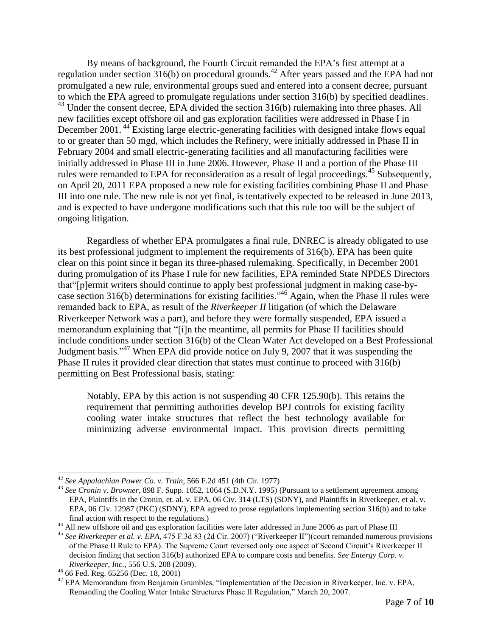By means of background, the Fourth Circuit remanded the EPA's first attempt at a regulation under section  $316(b)$  on procedural grounds.<sup>42</sup> After years passed and the EPA had not promulgated a new rule, environmental groups sued and entered into a consent decree, pursuant to which the EPA agreed to promulgate regulations under section 316(b) by specified deadlines. <sup>43</sup> Under the consent decree, EPA divided the section 316(b) rulemaking into three phases. All new facilities except offshore oil and gas exploration facilities were addressed in Phase I in December 2001.<sup>44</sup> Existing large electric-generating facilities with designed intake flows equal to or greater than 50 mgd, which includes the Refinery, were initially addressed in Phase II in February 2004 and small electric-generating facilities and all manufacturing facilities were initially addressed in Phase III in June 2006. However, Phase II and a portion of the Phase III rules were remanded to EPA for reconsideration as a result of legal proceedings.<sup>45</sup> Subsequently, on April 20, 2011 EPA proposed a new rule for existing facilities combining Phase II and Phase III into one rule. The new rule is not yet final, is tentatively expected to be released in June 2013, and is expected to have undergone modifications such that this rule too will be the subject of ongoing litigation.

Regardless of whether EPA promulgates a final rule, DNREC is already obligated to use its best professional judgment to implement the requirements of 316(b). EPA has been quite clear on this point since it began its three-phased rulemaking. Specifically, in December 2001 during promulgation of its Phase I rule for new facilities, EPA reminded State NPDES Directors that"[p]ermit writers should continue to apply best professional judgment in making case-bycase section 316(b) determinations for existing facilities."<sup>46</sup> Again, when the Phase II rules were remanded back to EPA, as result of the *Riverkeeper II* litigation (of which the Delaware Riverkeeper Network was a part), and before they were formally suspended, EPA issued a memorandum explaining that "[i]n the meantime, all permits for Phase II facilities should include conditions under section 316(b) of the Clean Water Act developed on a Best Professional Judgment basis."<sup>47</sup> When EPA did provide notice on July 9, 2007 that it was suspending the Phase II rules it provided clear direction that states must continue to proceed with 316(b) permitting on Best Professional basis, stating:

Notably, EPA by this action is not suspending 40 CFR 125.90(b). This retains the requirement that permitting authorities develop BPJ controls for existing facility cooling water intake structures that reflect the best technology available for minimizing adverse environmental impact. This provision directs permitting

<sup>42</sup> *See Appalachian Power Co. v. Train*, 566 F.2d 451 (4th Cir. 1977)

<sup>43</sup> *See Cronin v. Browner*, 898 F. Supp. 1052, 1064 (S.D.N.Y. 1995) (Pursuant to a settlement agreement among EPA, Plaintiffs in the Cronin, et. al. v. EPA, 06 Civ. 314 (LTS) (SDNY), and Plaintiffs in Riverkeeper, et al. v. EPA, 06 Civ. 12987 (PKC) (SDNY), EPA agreed to prose regulations implementing section 316(b) and to take final action with respect to the regulations.)

<sup>&</sup>lt;sup>44</sup> All new offshore oil and gas exploration facilities were later addressed in June 2006 as part of Phase III

<sup>45</sup> *See Riverkeeper et al. v. EPA*, 475 F.3d 83 (2d Cir. 2007) ("Riverkeeper II")(court remanded numerous provisions of the Phase II Rule to EPA). The Supreme Court reversed only one aspect of Second Circuit's Riverkeeper II decision finding that section 316(b) authorized EPA to compare costs and benefits. *See Entergy Corp. v. Riverkeeper, Inc*., 556 U.S. 208 (2009).

<sup>46</sup> 66 Fed. Reg. 65256 (Dec. 18, 2001)

<sup>&</sup>lt;sup>47</sup> EPA Memorandum from Benjamin Grumbles, "Implementation of the Decision in Riverkeeper, Inc. v. EPA, Remanding the Cooling Water Intake Structures Phase II Regulation," March 20, 2007.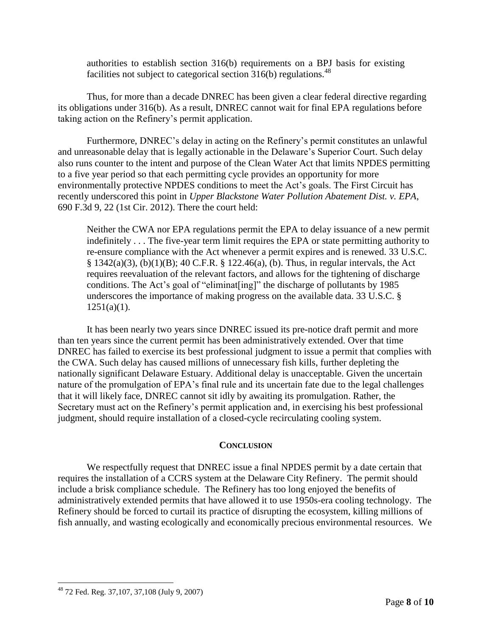authorities to establish section 316(b) requirements on a BPJ basis for existing facilities not subject to categorical section  $316(b)$  regulations.<sup>48</sup>

Thus, for more than a decade DNREC has been given a clear federal directive regarding its obligations under 316(b). As a result, DNREC cannot wait for final EPA regulations before taking action on the Refinery's permit application.

Furthermore, DNREC's delay in acting on the Refinery's permit constitutes an unlawful and unreasonable delay that is legally actionable in the Delaware's Superior Court. Such delay also runs counter to the intent and purpose of the Clean Water Act that limits NPDES permitting to a five year period so that each permitting cycle provides an opportunity for more environmentally protective NPDES conditions to meet the Act's goals. The First Circuit has recently underscored this point in *Upper Blackstone Water Pollution Abatement Dist. v. EPA*, 690 F.3d 9, 22 (1st Cir. 2012). There the court held:

Neither the CWA nor EPA regulations permit the EPA to delay issuance of a new permit indefinitely . . . The five-year term limit requires the EPA or state permitting authority to re-ensure compliance with the Act whenever a permit expires and is renewed. 33 U.S.C.  $§$  1342(a)(3), (b)(1)(B); 40 C.F.R. § 122.46(a), (b). Thus, in regular intervals, the Act requires reevaluation of the relevant factors, and allows for the tightening of discharge conditions. The Act's goal of "eliminat[ing]" the discharge of pollutants by 1985 underscores the importance of making progress on the available data. 33 U.S.C. §  $1251(a)(1)$ .

It has been nearly two years since DNREC issued its pre-notice draft permit and more than ten years since the current permit has been administratively extended. Over that time DNREC has failed to exercise its best professional judgment to issue a permit that complies with the CWA. Such delay has caused millions of unnecessary fish kills, further depleting the nationally significant Delaware Estuary. Additional delay is unacceptable. Given the uncertain nature of the promulgation of EPA's final rule and its uncertain fate due to the legal challenges that it will likely face, DNREC cannot sit idly by awaiting its promulgation. Rather, the Secretary must act on the Refinery's permit application and, in exercising his best professional judgment, should require installation of a closed-cycle recirculating cooling system.

# **CONCLUSION**

We respectfully request that DNREC issue a final NPDES permit by a date certain that requires the installation of a CCRS system at the Delaware City Refinery. The permit should include a brisk compliance schedule. The Refinery has too long enjoyed the benefits of administratively extended permits that have allowed it to use 1950s-era cooling technology. The Refinery should be forced to curtail its practice of disrupting the ecosystem, killing millions of fish annually, and wasting ecologically and economically precious environmental resources. We

 $48$  72 Fed. Reg. 37, 107, 37, 108 (July 9, 2007)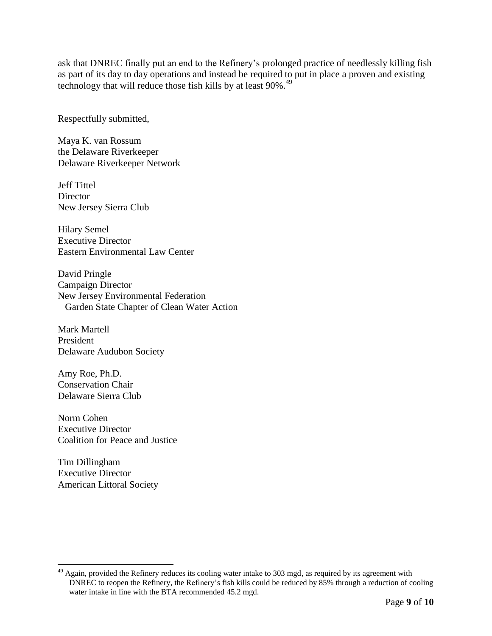ask that DNREC finally put an end to the Refinery's prolonged practice of needlessly killing fish as part of its day to day operations and instead be required to put in place a proven and existing technology that will reduce those fish kills by at least 90%.<sup>49</sup>

Respectfully submitted,

Maya K. van Rossum the Delaware Riverkeeper Delaware Riverkeeper Network

Jeff Tittel **Director** New Jersey Sierra Club

Hilary Semel Executive Director Eastern Environmental Law Center

David Pringle Campaign Director New Jersey Environmental Federation Garden State Chapter of Clean Water Action

Mark Martell President Delaware Audubon Society

Amy Roe, Ph.D. Conservation Chair Delaware Sierra Club

Norm Cohen Executive Director Coalition for Peace and Justice

Tim Dillingham Executive Director American Littoral Society

<sup>&</sup>lt;sup>49</sup> Again, provided the Refinery reduces its cooling water intake to 303 mgd, as required by its agreement with DNREC to reopen the Refinery, the Refinery's fish kills could be reduced by 85% through a reduction of cooling water intake in line with the BTA recommended 45.2 mgd.